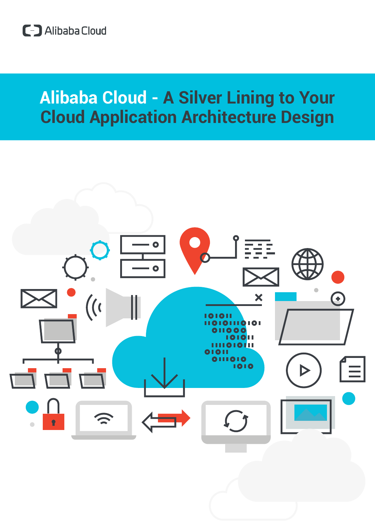# **Alibaba Cloud - A Silver Lining to Your Cloud Application Architecture Design**

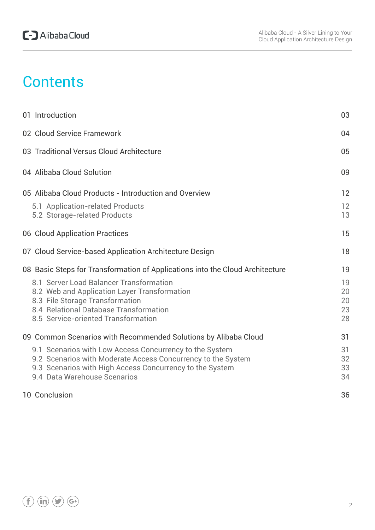# **Contents**

| 01 Introduction                                                                                                                                                                                                     | 03                         |
|---------------------------------------------------------------------------------------------------------------------------------------------------------------------------------------------------------------------|----------------------------|
| 02 Cloud Service Framework                                                                                                                                                                                          | 04                         |
| 03 Traditional Versus Cloud Architecture                                                                                                                                                                            | 05                         |
| 04 Alibaba Cloud Solution                                                                                                                                                                                           | 09                         |
| 05 Alibaba Cloud Products - Introduction and Overview<br>5.1 Application-related Products<br>5.2 Storage-related Products                                                                                           | 12<br>12<br>13             |
| 06 Cloud Application Practices                                                                                                                                                                                      | 15                         |
| 07 Cloud Service-based Application Architecture Design                                                                                                                                                              | 18                         |
| 08 Basic Steps for Transformation of Applications into the Cloud Architecture                                                                                                                                       | 19                         |
| 8.1 Server Load Balancer Transformation<br>8.2 Web and Application Layer Transformation<br>8.3 File Storage Transformation<br>8.4 Relational Database Transformation<br>8.5 Service-oriented Transformation         | 19<br>20<br>20<br>23<br>28 |
| 09 Common Scenarios with Recommended Solutions by Alibaba Cloud                                                                                                                                                     | 31                         |
| 9.1 Scenarios with Low Access Concurrency to the System<br>9.2 Scenarios with Moderate Access Concurrency to the System<br>9.3 Scenarios with High Access Concurrency to the System<br>9.4 Data Warehouse Scenarios | 31<br>32<br>33<br>34       |
| 10 Conclusion                                                                                                                                                                                                       | 36                         |

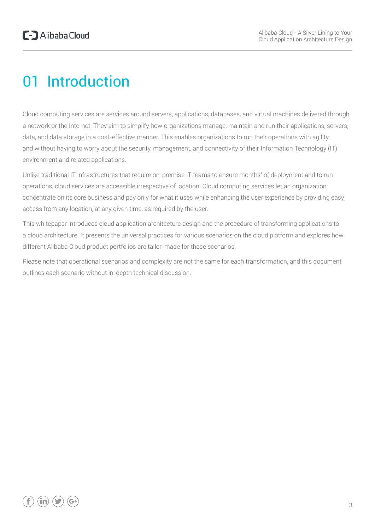# 01 Introduction

Cloud computing services are services around servers, applications, databases, and virtual machines delivered through a network or the Internet. They aim to simplify how organizations manage, maintain and run their applications, servers, data, and data storage in a cost-effective manner. This enables organizations to run their operations with agility and without having to worry about the security, management, and connectivity of their Information Technology (IT) environment and related applications.

Unlike traditional IT infrastructures that require on-premise IT teams to ensure months' of deployment and to run operations, cloud services are accessible irrespective of location. Cloud computing services let an organization concentrate on its core business and pay only for what it uses while enhancing the user experience by providing easy access from any location, at any given time, as required by the user.

This whitepaper introduces cloud application architecture design and the procedure of transforming applications to a cloud architecture. It presents the universal practices for various scenarios on the cloud platform and explores how different Alibaba Cloud product portfolios are tailor-made for these scenarios.

Please note that operational scenarios and complexity are not the same for each transformation, and this document outlines each scenario without in-depth technical discussion.

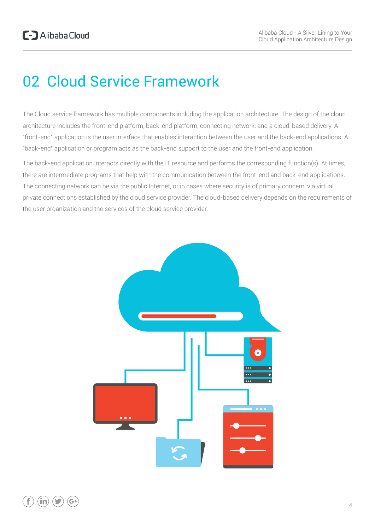# 02 Cloud Service Framework

The Cloud service framework has multiple components including the application architecture. The design of the cloud architecture includes the front-end platform, back-end platform, connecting network, and a cloud-based delivery. A "front-end" application is the user interface that enables interaction between the user and the back-end applications. A "back-end" application or program acts as the back-end support to the user and the front-end application.

The back-end application interacts directly with the IT resource and performs the corresponding function(s). At times, there are intermediate programs that help with the communication between the front-end and back-end applications. The connecting network can be via the public Internet, or in cases where security is of primary concern, via virtual private connections established by the cloud service provider. The cloud-based delivery depends on the requirements of the user organization and the services of the cloud service provider.

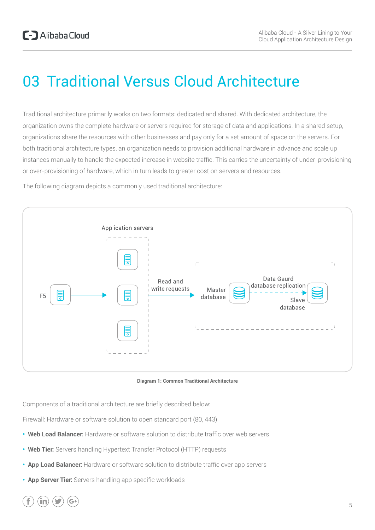# 03 Traditional Versus Cloud Architecture

Traditional architecture primarily works on two formats: dedicated and shared. With dedicated architecture, the organization owns the complete hardware or servers required for storage of data and applications. In a shared setup, organizations share the resources with other businesses and pay only for a set amount of space on the servers. For both traditional architecture types, an organization needs to provision additional hardware in advance and scale up instances manually to handle the expected increase in website traffic. This carries the uncertainty of under-provisioning or over-provisioning of hardware, which in turn leads to greater cost on servers and resources.

The following diagram depicts a commonly used traditional architecture:



**Diagram 1: Common Traditional Architecture**

Components of a traditional architecture are briefly described below:

Firewall: Hardware or software solution to open standard port (80, 443)

- **• Web Load Balancer:** Hardware or software solution to distribute traffic over web servers
- **• Web Tier:** Servers handling Hypertext Transfer Protocol (HTTP) requests
- **• App Load Balancer:** Hardware or software solution to distribute traffic over app servers
- **• App Server Tier:** Servers handling app specific workloads

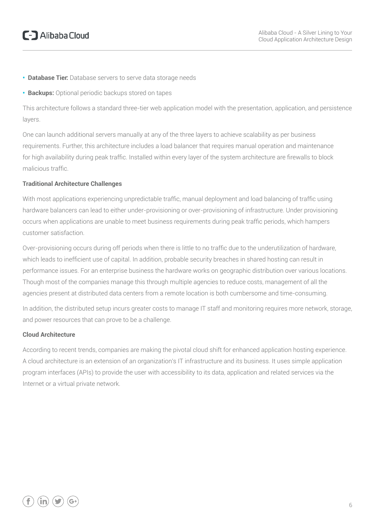- **• Database Tier:** Database servers to serve data storage needs
- **• Backups:** Optional periodic backups stored on tapes

This architecture follows a standard three-tier web application model with the presentation, application, and persistence layers.

One can launch additional servers manually at any of the three layers to achieve scalability as per business requirements. Further, this architecture includes a load balancer that requires manual operation and maintenance for high availability during peak traffic. Installed within every layer of the system architecture are firewalls to block malicious traffic.

#### **Traditional Architecture Challenges**

With most applications experiencing unpredictable traffic, manual deployment and load balancing of traffic using hardware balancers can lead to either under-provisioning or over-provisioning of infrastructure. Under provisioning occurs when applications are unable to meet business requirements during peak traffic periods, which hampers customer satisfaction.

Over-provisioning occurs during off periods when there is little to no traffic due to the underutilization of hardware, which leads to inefficient use of capital. In addition, probable security breaches in shared hosting can result in performance issues. For an enterprise business the hardware works on geographic distribution over various locations. Though most of the companies manage this through multiple agencies to reduce costs, management of all the agencies present at distributed data centers from a remote location is both cumbersome and time-consuming.

In addition, the distributed setup incurs greater costs to manage IT staff and monitoring requires more network, storage, and power resources that can prove to be a challenge.

#### **Cloud Architecture**

According to recent trends, companies are making the pivotal cloud shift for enhanced application hosting experience. A cloud architecture is an extension of an organization's IT infrastructure and its business. It uses simple application program interfaces (APIs) to provide the user with accessibility to its data, application and related services via the Internet or a virtual private network.

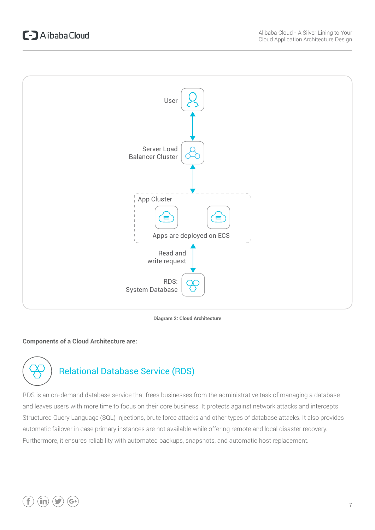

**Diagram 2: Cloud Architecture**

#### **Components of a Cloud Architecture are:**



RDS is an on-demand database service that frees businesses from the administrative task of managing a database and leaves users with more time to focus on their core business. It protects against network attacks and intercepts Structured Query Language (SQL) injections, brute force attacks and other types of database attacks. It also provides automatic failover in case primary instances are not available while offering remote and local disaster recovery. Furthermore, it ensures reliability with automated backups, snapshots, and automatic host replacement.

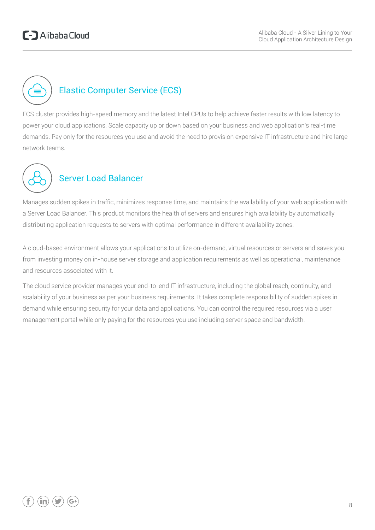

## Elastic Computer Service (ECS)

ECS cluster provides high-speed memory and the latest Intel CPUs to help achieve faster results with low latency to power your cloud applications. Scale capacity up or down based on your business and web application's real-time demands. Pay only for the resources you use and avoid the need to provision expensive IT infrastructure and hire large network teams.



## Server Load Balancer

Manages sudden spikes in traffic, minimizes response time, and maintains the availability of your web application with a Server Load Balancer. This product monitors the health of servers and ensures high availability by automatically distributing application requests to servers with optimal performance in different availability zones.

A cloud-based environment allows your applications to utilize on-demand, virtual resources or servers and saves you from investing money on in-house server storage and application requirements as well as operational, maintenance and resources associated with it.

The cloud service provider manages your end-to-end IT infrastructure, including the global reach, continuity, and scalability of your business as per your business requirements. It takes complete responsibility of sudden spikes in demand while ensuring security for your data and applications. You can control the required resources via a user management portal while only paying for the resources you use including server space and bandwidth.

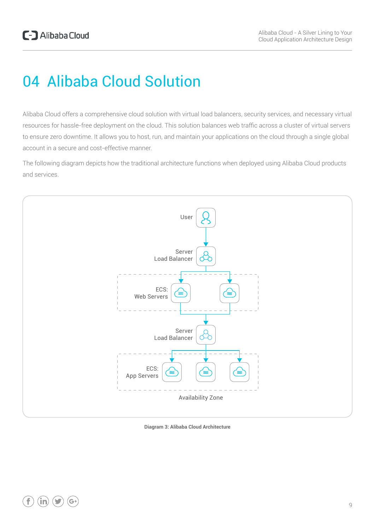# 04 Alibaba Cloud Solution

Alibaba Cloud offers a comprehensive cloud solution with virtual load balancers, security services, and necessary virtual resources for hassle-free deployment on the cloud. This solution balances web traffic across a cluster of virtual servers to ensure zero downtime. It allows you to host, run, and maintain your applications on the cloud through a single global account in a secure and cost-effective manner.

The following diagram depicts how the traditional architecture functions when deployed using Alibaba Cloud products and services.



**Diagram 3: Alibaba Cloud Architecture**

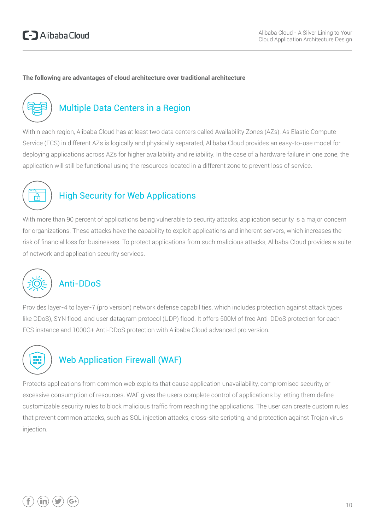#### **The following are advantages of cloud architecture over traditional architecture**



### Multiple Data Centers in a Region

Within each region, Alibaba Cloud has at least two data centers called Availability Zones (AZs). As Elastic Compute Service (ECS) in different AZs is logically and physically separated, Alibaba Cloud provides an easy-to-use model for deploying applications across AZs for higher availability and reliability. In the case of a hardware failure in one zone, the application will still be functional using the resources located in a different zone to prevent loss of service.



### High Security for Web Applications

With more than 90 percent of applications being vulnerable to security attacks, application security is a major concern for organizations. These attacks have the capability to exploit applications and inherent servers, which increases the risk of financial loss for businesses. To protect applications from such malicious attacks, Alibaba Cloud provides a suite of network and application security services.



### Anti-DDoS

Provides layer-4 to layer-7 (pro version) network defense capabilities, which includes protection against attack types like DDoS), SYN flood, and user datagram protocol (UDP) flood. It offers 500M of free Anti-DDoS protection for each ECS instance and 1000G+ Anti-DDoS protection with Alibaba Cloud advanced pro version.



### Web Application Firewall (WAF)

Protects applications from common web exploits that cause application unavailability, compromised security, or excessive consumption of resources. WAF gives the users complete control of applications by letting them define customizable security rules to block malicious traffic from reaching the applications. The user can create custom rules that prevent common attacks, such as SQL injection attacks, cross-site scripting, and protection against Trojan virus injection.

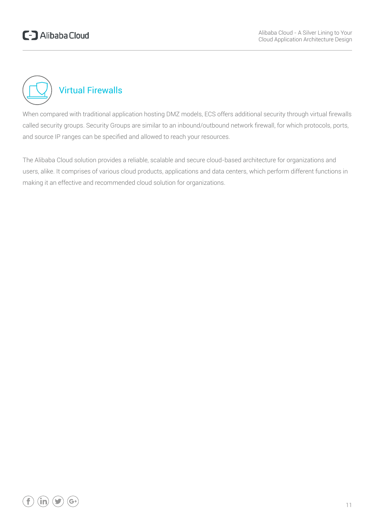

When compared with traditional application hosting DMZ models, ECS offers additional security through virtual firewalls called security groups. Security Groups are similar to an inbound/outbound network firewall, for which protocols, ports, and source IP ranges can be specified and allowed to reach your resources.

The Alibaba Cloud solution provides a reliable, scalable and secure cloud-based architecture for organizations and users, alike. It comprises of various cloud products, applications and data centers, which perform different functions in making it an effective and recommended cloud solution for organizations.

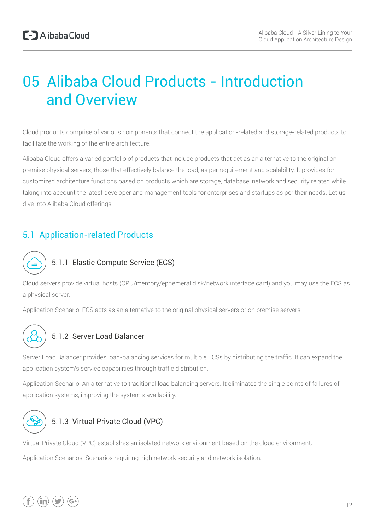# 05 Alibaba Cloud Products - Introduction and Overview

Cloud products comprise of various components that connect the application-related and storage-related products to facilitate the working of the entire architecture.

Alibaba Cloud offers a varied portfolio of products that include products that act as an alternative to the original onpremise physical servers, those that effectively balance the load, as per requirement and scalability. It provides for customized architecture functions based on products which are storage, database, network and security related while taking into account the latest developer and management tools for enterprises and startups as per their needs. Let us dive into Alibaba Cloud offerings.

### 5.1 Application-related Products



#### 5.1.1 Elastic Compute Service (ECS)

Cloud servers provide virtual hosts (CPU/memory/ephemeral disk/network interface card) and you may use the ECS as a physical server.

Application Scenario: ECS acts as an alternative to the original physical servers or on premise servers.



#### 5.1.2 Server Load Balancer

Server Load Balancer provides load-balancing services for multiple ECSs by distributing the traffic. It can expand the application system's service capabilities through traffic distribution.

Application Scenario: An alternative to traditional load balancing servers. It eliminates the single points of failures of application systems, improving the system's availability.



#### 5.1.3 Virtual Private Cloud (VPC)

Virtual Private Cloud (VPC) establishes an isolated network environment based on the cloud environment.

Application Scenarios: Scenarios requiring high network security and network isolation.

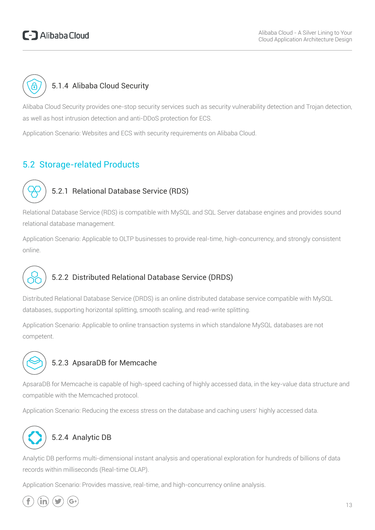## C-D Alibaba Cloud



#### 5.1.4 Alibaba Cloud Security

Alibaba Cloud Security provides one-stop security services such as security vulnerability detection and Trojan detection, as well as host intrusion detection and anti-DDoS protection for ECS.

Application Scenario: Websites and ECS with security requirements on Alibaba Cloud.

### 5.2 Storage-related Products



#### 5.2.1 Relational Database Service (RDS)

Relational Database Service (RDS) is compatible with MySQL and SQL Server database engines and provides sound relational database management.

Application Scenario: Applicable to OLTP businesses to provide real-time, high-concurrency, and strongly consistent online.



#### 5.2.2 Distributed Relational Database Service (DRDS)

Distributed Relational Database Service (DRDS) is an online distributed database service compatible with MySQL databases, supporting horizontal splitting, smooth scaling, and read-write splitting.

Application Scenario: Applicable to online transaction systems in which standalone MySQL databases are not competent.



#### 5.2.3 ApsaraDB for Memcache

ApsaraDB for Memcache is capable of high-speed caching of highly accessed data, in the key-value data structure and compatible with the Memcached protocol.

Application Scenario: Reducing the excess stress on the database and caching users' highly accessed data.



### 5.2.4 Analytic DB

Analytic DB performs multi-dimensional instant analysis and operational exploration for hundreds of billions of data records within milliseconds (Real-time OLAP).

Application Scenario: Provides massive, real-time, and high-concurrency online analysis.

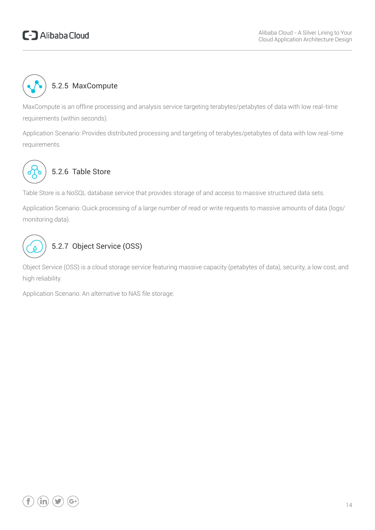## C-D Alibaba Cloud



#### 5.2.5 MaxCompute

MaxCompute is an offline processing and analysis service targeting terabytes/petabytes of data with low real-time requirements (within seconds).

Application Scenario: Provides distributed processing and targeting of terabytes/petabytes of data with low real-time requirements.



### 5.2.6 Table Store

Table Store is a NoSQL database service that provides storage of and access to massive structured data sets.

Application Scenario: Quick processing of a large number of read or write requests to massive amounts of data (logs/ monitoring data).



### 5.2.7 Object Service (OSS)

Object Service (OSS) is a cloud storage service featuring massive capacity (petabytes of data), security, a low cost, and high reliability.

Application Scenario: An alternative to NAS file storage.

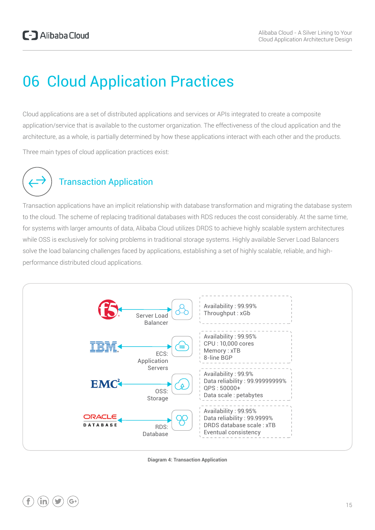# 06 Cloud Application Practices

Cloud applications are a set of distributed applications and services or APIs integrated to create a composite application/service that is available to the customer organization. The effectiveness of the cloud application and the architecture, as a whole, is partially determined by how these applications interact with each other and the products.

Three main types of cloud application practices exist:



### Transaction Application

Transaction applications have an implicit relationship with database transformation and migrating the database system to the cloud. The scheme of replacing traditional databases with RDS reduces the cost considerably. At the same time, for systems with larger amounts of data, Alibaba Cloud utilizes DRDS to achieve highly scalable system architectures while OSS is exclusively for solving problems in traditional storage systems. Highly available Server Load Balancers solve the load balancing challenges faced by applications, establishing a set of highly scalable, reliable, and highperformance distributed cloud applications.



**Diagram 4: Transaction Application**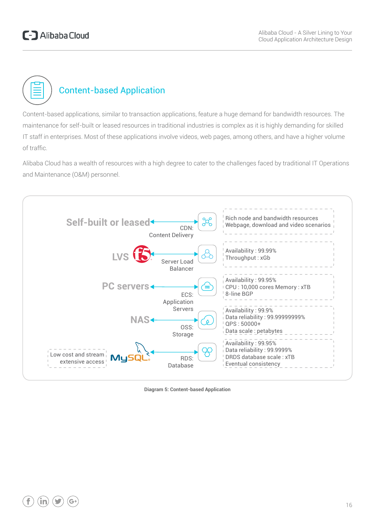

## Content-based Application

Content-based applications, similar to transaction applications, feature a huge demand for bandwidth resources. The maintenance for self-built or leased resources in traditional industries is complex as it is highly demanding for skilled IT staff in enterprises. Most of these applications involve videos, web pages, among others, and have a higher volume of traffic.

Alibaba Cloud has a wealth of resources with a high degree to cater to the challenges faced by traditional IT Operations and Maintenance (O&M) personnel.



**Diagram 5: Content-based Application**

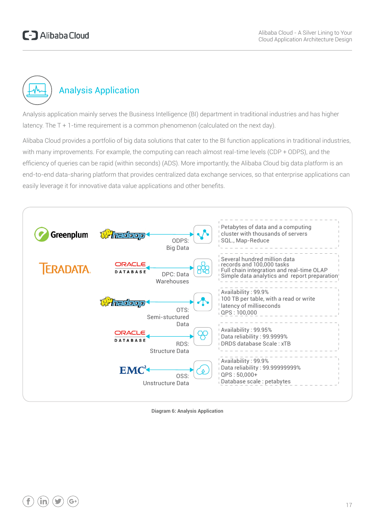

Analysis application mainly serves the Business Intelligence (BI) department in traditional industries and has higher latency. The T + 1-time requirement is a common phenomenon (calculated on the next day).

Alibaba Cloud provides a portfolio of big data solutions that cater to the BI function applications in traditional industries, with many improvements. For example, the computing can reach almost real-time levels (CDP + ODPS), and the efficiency of queries can be rapid (within seconds) (ADS). More importantly, the Alibaba Cloud big data platform is an end-to-end data-sharing platform that provides centralized data exchange services, so that enterprise applications can easily leverage it for innovative data value applications and other benefits.



**Diagram 6: Analysis Application**

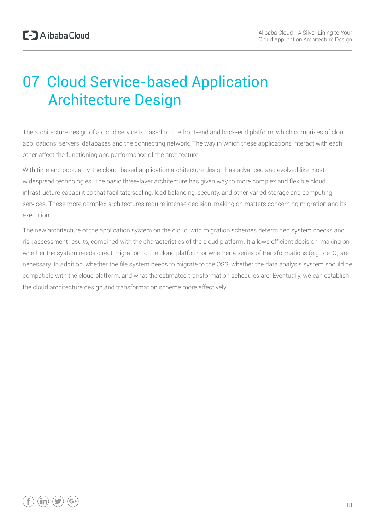# 07 Cloud Service-based Application Architecture Design

The architecture design of a cloud service is based on the front-end and back-end platform, which comprises of cloud applications, servers, databases and the connecting network. The way in which these applications interact with each other affect the functioning and performance of the architecture.

With time and popularity, the cloud-based application architecture design has advanced and evolved like most widespread technologies. The basic three-layer architecture has given way to more complex and flexible cloud infrastructure capabilities that facilitate scaling, load balancing, security, and other varied storage and computing services. These more complex architectures require intense decision-making on matters concerning migration and its execution.

The new architecture of the application system on the cloud, with migration schemes determined system checks and risk assessment results, combined with the characteristics of the cloud platform. It allows efficient decision-making on whether the system needs direct migration to the cloud platform or whether a series of transformations (e.g., de-O) are necessary. In addition, whether the file system needs to migrate to the OSS, whether the data analysis system should be compatible with the cloud platform, and what the estimated transformation schedules are. Eventually, we can establish the cloud architecture design and transformation scheme more effectively.

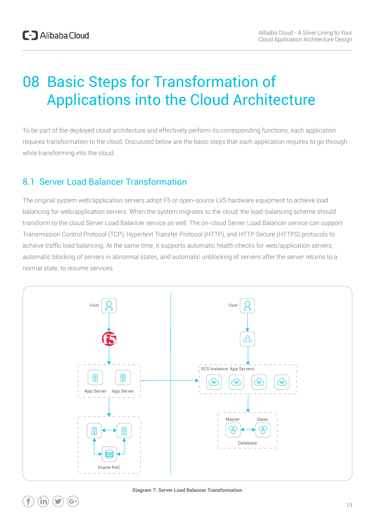# 08 Basic Steps for Transformation of Applications into the Cloud Architecture

To be part of the deployed cloud architecture and effectively perform its corresponding functions, each application requires transformation to the cloud. Discussed below are the basic steps that each application requires to go through while transforming into the cloud.

#### 8.1 Server Load Balancer Transformation

The original system web/application servers adopt F5 or open-source LVS hardware equipment to achieve load balancing for web/application servers. When the system migrates to the cloud, the load-balancing scheme should transform to the cloud Server Load Balancer service as well. The on-cloud Server Load Balancer service can support Transmission Control Protocol (TCP), Hypertext Transfer Protocol (HTTP), and HTTP Secure (HTTPS) protocols to achieve traffic load balancing. At the same time, it supports automatic health checks for web/application servers, automatic blocking of servers in abnormal states, and automatic unblocking of servers after the server returns to a normal state, to resume services.



**Diagram 7: Server Load Balancer Transformation**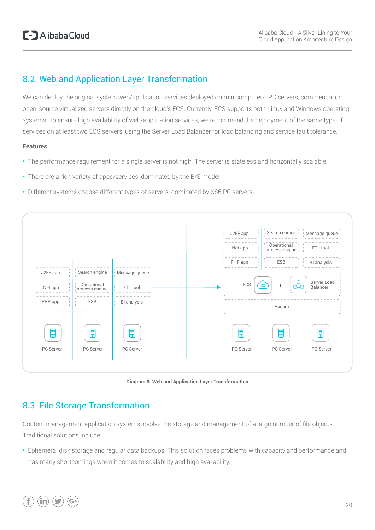#### 8.2 Web and Application Layer Transformation

We can deploy the original system web/application services deployed on minicomputers, PC servers, commercial or open-source virtualized servers directly on the cloud's ECS. Currently, ECS supports both Linux and Windows operating systems. To ensure high availability of web/application services, we recommend the deployment of the same type of services on at least two ECS servers, using the Server Load Balancer for load balancing and service fault tolerance.

#### **Features**

- **•** The performance requirement for a single server is not high. The server is stateless and horizontally scalable.
- **•** There are a rich variety of apps/services, dominated by the B/S model
- **•** Different systems choose different types of servers, dominated by X86 PC servers.





### 8.3 File Storage Transformation

Content management application systems involve the storage and management of a large number of file objects. Traditional solutions include:

**•** Ephemeral disk storage and regular data backups: This solution faces problems with capacity and performance and has many shortcomings when it comes to scalability and high availability.

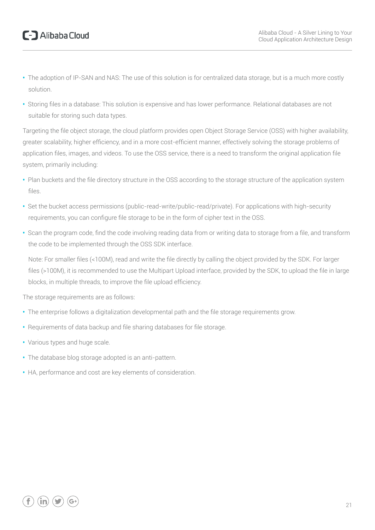- **•** The adoption of IP-SAN and NAS: The use of this solution is for centralized data storage, but is a much more costly solution.
- **•** Storing files in a database: This solution is expensive and has lower performance. Relational databases are not suitable for storing such data types.

Targeting the file object storage, the cloud platform provides open Object Storage Service (OSS) with higher availability, greater scalability, higher efficiency, and in a more cost-efficient manner, effectively solving the storage problems of application files, images, and videos. To use the OSS service, there is a need to transform the original application file system, primarily including:

- **•** Plan buckets and the file directory structure in the OSS according to the storage structure of the application system files.
- **•** Set the bucket access permissions (public-read-write/public-read/private). For applications with high-security requirements, you can configure file storage to be in the form of cipher text in the OSS.
- **•** Scan the program code, find the code involving reading data from or writing data to storage from a file, and transform the code to be implemented through the OSS SDK interface.

Note: For smaller files (<100M), read and write the file directly by calling the object provided by the SDK. For larger files (>100M), it is recommended to use the Multipart Upload interface, provided by the SDK, to upload the file in large blocks, in multiple threads, to improve the file upload efficiency.

The storage requirements are as follows:

- **•** The enterprise follows a digitalization developmental path and the file storage requirements grow.
- **•** Requirements of data backup and file sharing databases for file storage.
- **•** Various types and huge scale.
- **•** The database blog storage adopted is an anti-pattern.
- **•** HA, performance and cost are key elements of consideration.

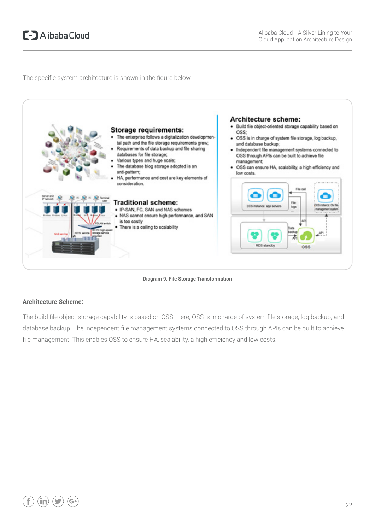The specific system architecture is shown in the figure below.





#### **Architecture Scheme:**

The build file object storage capability is based on OSS. Here, OSS is in charge of system file storage, log backup, and database backup. The independent file management systems connected to OSS through APIs can be built to achieve file management. This enables OSS to ensure HA, scalability, a high efficiency and low costs.

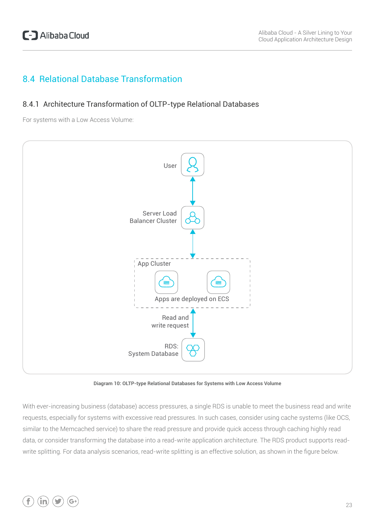#### 8.4 Relational Database Transformation

#### 8.4.1 Architecture Transformation of OLTP-type Relational Databases

For systems with a Low Access Volume:



**Diagram 10: OLTP-type Relational Databases for Systems with Low Access Volume**

With ever-increasing business (database) access pressures, a single RDS is unable to meet the business read and write requests, especially for systems with excessive read pressures. In such cases, consider using cache systems (like OCS, similar to the Memcached service) to share the read pressure and provide quick access through caching highly read data, or consider transforming the database into a read-write application architecture. The RDS product supports readwrite splitting. For data analysis scenarios, read-write splitting is an effective solution, as shown in the figure below.

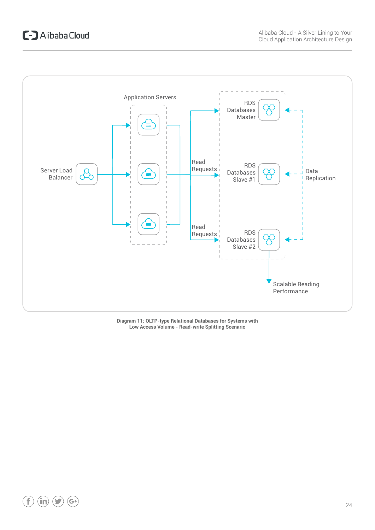## C-D Alibaba Cloud



**Diagram 11: OLTP-type Relational Databases for Systems with Low Access Volume - Read-write Splitting Scenario**

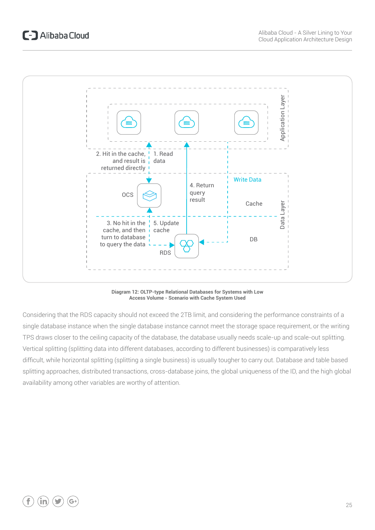

**Diagram 12: OLTP-type Relational Databases for Systems with Low Access Volume - Scenario with Cache System Used**

Considering that the RDS capacity should not exceed the 2TB limit, and considering the performance constraints of a single database instance when the single database instance cannot meet the storage space requirement, or the writing TPS draws closer to the ceiling capacity of the database, the database usually needs scale-up and scale-out splitting. Vertical splitting (splitting data into different databases, according to different businesses) is comparatively less difficult, while horizontal splitting (splitting a single business) is usually tougher to carry out. Database and table based splitting approaches, distributed transactions, cross-database joins, the global uniqueness of the ID, and the high global availability among other variables are worthy of attention.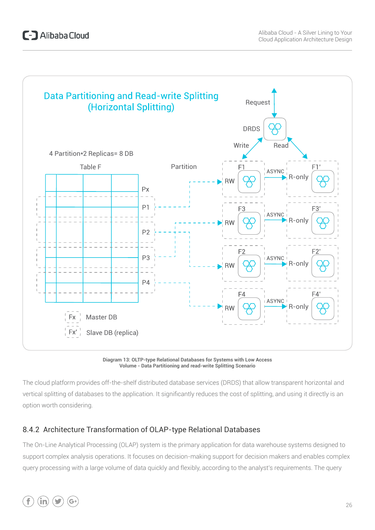

**Diagram 13: OLTP-type Relational Databases for Systems with Low Access Volume - Data Partitioning and read-write Splitting Scenario**

The cloud platform provides off-the-shelf distributed database services (DRDS) that allow transparent horizontal and vertical splitting of databases to the application. It significantly reduces the cost of splitting, and using it directly is an option worth considering.

#### 8.4.2 Architecture Transformation of OLAP-type Relational Databases

The On-Line Analytical Processing (OLAP) system is the primary application for data warehouse systems designed to support complex analysis operations. It focuses on decision-making support for decision makers and enables complex query processing with a large volume of data quickly and flexibly, according to the analyst's requirements. The query

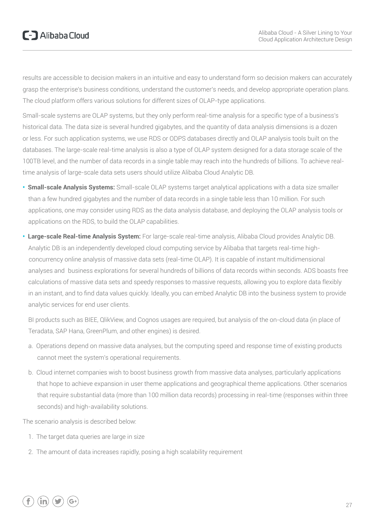results are accessible to decision makers in an intuitive and easy to understand form so decision makers can accurately grasp the enterprise's business conditions, understand the customer's needs, and develop appropriate operation plans. The cloud platform offers various solutions for different sizes of OLAP-type applications.

Small-scale systems are OLAP systems, but they only perform real-time analysis for a specific type of a business's historical data. The data size is several hundred gigabytes, and the quantity of data analysis dimensions is a dozen or less. For such application systems, we use RDS or ODPS databases directly and OLAP analysis tools built on the databases. The large-scale real-time analysis is also a type of OLAP system designed for a data storage scale of the 100TB level, and the number of data records in a single table may reach into the hundreds of billions. To achieve realtime analysis of large-scale data sets users should utilize Alibaba Cloud Analytic DB.

- **• Small-scale Analysis Systems:** Small-scale OLAP systems target analytical applications with a data size smaller than a few hundred gigabytes and the number of data records in a single table less than 10 million. For such applications, one may consider using RDS as the data analysis database, and deploying the OLAP analysis tools or applications on the RDS, to build the OLAP capabilities.
- **• Large-scale Real-time Analysis System:** For large-scale real-time analysis, Alibaba Cloud provides Analytic DB. Analytic DB is an independently developed cloud computing service by Alibaba that targets real-time high concurrency online analysis of massive data sets (real-time OLAP). It is capable of instant multidimensional analyses and business explorations for several hundreds of billions of data records within seconds. ADS boasts free calculations of massive data sets and speedy responses to massive requests, allowing you to explore data flexibly in an instant, and to find data values quickly. Ideally, you can embed Analytic DB into the business system to provide analytic services for end user clients.

BI products such as BIEE, QlikView, and Cognos usages are required, but analysis of the on-cloud data (in place of Teradata, SAP Hana, GreenPlum, and other engines) is desired.

- a. Operations depend on massive data analyses, but the computing speed and response time of existing products cannot meet the system's operational requirements.
- b. Cloud internet companies wish to boost business growth from massive data analyses, particularly applications that hope to achieve expansion in user theme applications and geographical theme applications. Other scenarios that require substantial data (more than 100 million data records) processing in real-time (responses within three seconds) and high-availability solutions.

The scenario analysis is described below:

- 1. The target data queries are large in size
- 2. The amount of data increases rapidly, posing a high scalability requirement

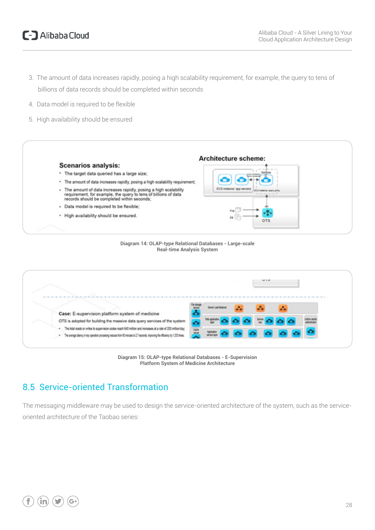### C-D Alibaba Cloud

- 3. The amount of data increases rapidly, posing a high scalability requirement, for example, the query to tens of billions of data records should be completed within seconds
- 4. Data model is required to be flexible
- 5. High availability should be ensured









### 8.5 Service-oriented Transformation

The messaging middleware may be used to design the service-oriented architecture of the system, such as the serviceoriented architecture of the Taobao series:

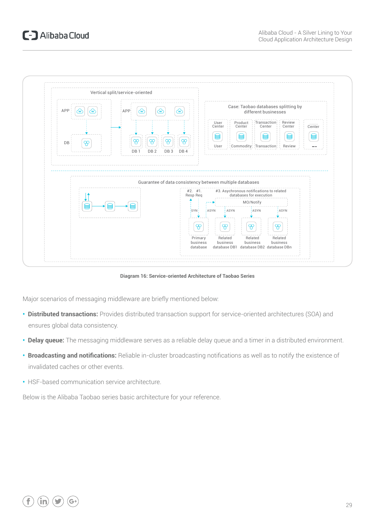

**Diagram 16: Service-oriented Architecture of Taobao Series**

Major scenarios of messaging middleware are briefly mentioned below:

- **• Distributed transactions:** Provides distributed transaction support for service-oriented architectures (SOA) and ensures global data consistency.
- **• Delay queue:** The messaging middleware serves as a reliable delay queue and a timer in a distributed environment.
- **• Broadcasting and notifications:** Reliable in-cluster broadcasting notifications as well as to notify the existence of invalidated caches or other events.
- **•** HSF-based communication service architecture.

Below is the Alibaba Taobao series basic architecture for your reference.

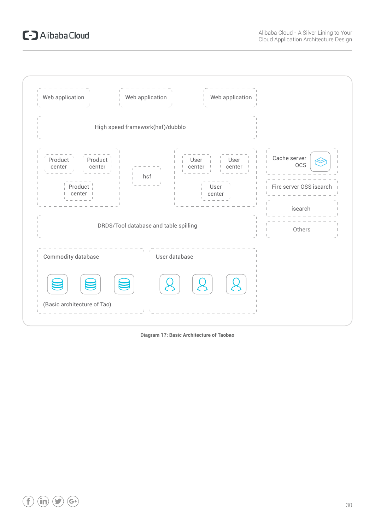## C-D Alibaba Cloud



**Diagram 17: Basic Architecture of Taobao**

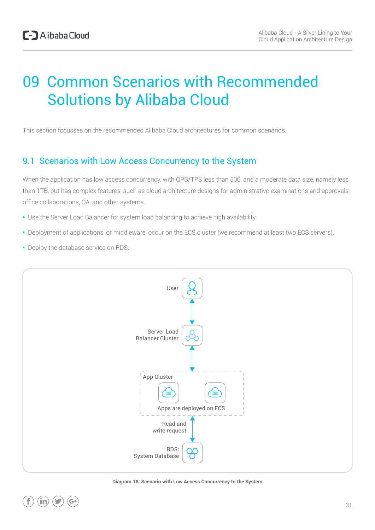# 09 Common Scenarios with Recommended Solutions by Alibaba Cloud

This section focusses on the recommended Alibaba Cloud architectures for common scenarios.

### 9.1 Scenarios with Low Access Concurrency to the System

When the application has low access concurrency, with QPS/TPS less than 500, and a moderate data size, namely less than 1TB, but has complex features, such as cloud architecture designs for administrative examinations and approvals, office collaborations, OA, and other systems.

- **•** Use the Server Load Balancer for system load balancing to achieve high availability.
- **•** Deployment of applications, or middleware, occur on the ECS cluster (we recommend at least two ECS servers).
- **•** Deploy the database service on RDS.



**Diagram 18: Scenario with Low Access Concurrency to the System**

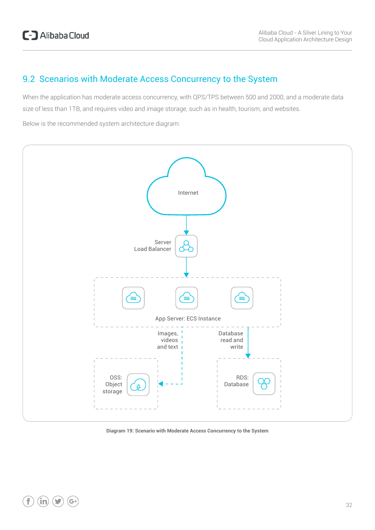#### 9.2 Scenarios with Moderate Access Concurrency to the System

When the application has moderate access concurrency, with QPS/TPS between 500 and 2000, and a moderate data size of less than 1TB, and requires video and image storage, such as in health, tourism, and websites.

Below is the recommended system architecture diagram:



**Diagram 19: Scenario with Moderate Access Concurrency to the System**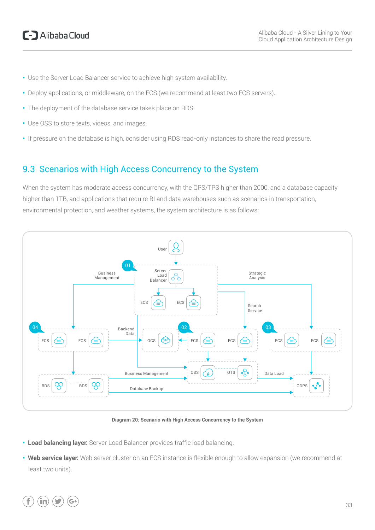- **•** Use the Server Load Balancer service to achieve high system availability.
- **•** Deploy applications, or middleware, on the ECS (we recommend at least two ECS servers).
- **•** The deployment of the database service takes place on RDS.
- **•** Use OSS to store texts, videos, and images.
- **•** If pressure on the database is high, consider using RDS read-only instances to share the read pressure.

#### 9.3 Scenarios with High Access Concurrency to the System

When the system has moderate access concurrency, with the QPS/TPS higher than 2000, and a database capacity higher than 1TB, and applications that require BI and data warehouses such as scenarios in transportation, environmental protection, and weather systems, the system architecture is as follows:



**Diagram 20: Scenario with High Access Concurrency to the System**

- **• Load balancing layer:** Server Load Balancer provides traffic load balancing.
- **• Web service layer:** Web server cluster on an ECS instance is flexible enough to allow expansion (we recommend at least two units).

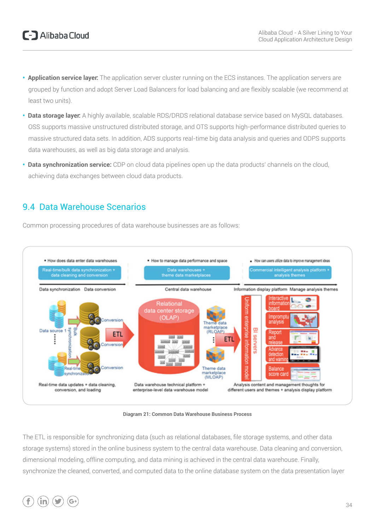- **• Application service layer:** The application server cluster running on the ECS instances. The application servers are grouped by function and adopt Server Load Balancers for load balancing and are flexibly scalable (we recommend at least two units).
- **• Data storage layer:** A highly available, scalable RDS/DRDS relational database service based on MySQL databases. OSS supports massive unstructured distributed storage, and OTS supports high-performance distributed queries to massive structured data sets. In addition, ADS supports real-time big data analysis and queries and ODPS supports data warehouses, as well as big data storage and analysis.
- **• Data synchronization service:** CDP on cloud data pipelines open up the data products' channels on the cloud, achieving data exchanges between cloud data products.

#### 9.4 Data Warehouse Scenarios

Common processing procedures of data warehouse businesses are as follows:



**Diagram 21: Common Data Warehouse Business Process**

The ETL is responsible for synchronizing data (such as relational databases, file storage systems, and other data storage systems) stored in the online business system to the central data warehouse. Data cleaning and conversion, dimensional modeling, offline computing, and data mining is achieved in the central data warehouse. Finally, synchronize the cleaned, converted, and computed data to the online database system on the data presentation layer

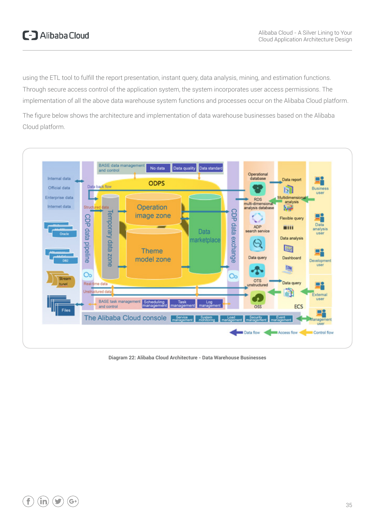using the ETL tool to fulfill the report presentation, instant query, data analysis, mining, and estimation functions. Through secure access control of the application system, the system incorporates user access permissions. The implementation of all the above data warehouse system functions and processes occur on the Alibaba Cloud platform.

The figure below shows the architecture and implementation of data warehouse businesses based on the Alibaba Cloud platform.



**Diagram 22: Alibaba Cloud Architecture - Data Warehouse Businesses**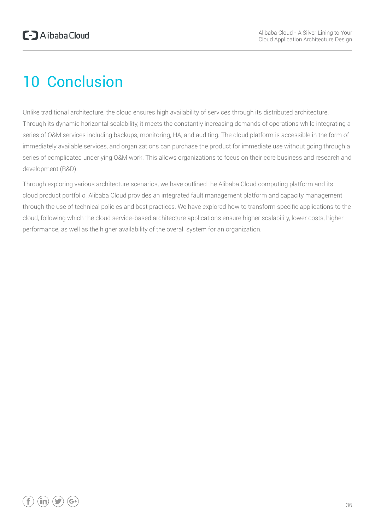# 10 Conclusion

Unlike traditional architecture, the cloud ensures high availability of services through its distributed architecture. Through its dynamic horizontal scalability, it meets the constantly increasing demands of operations while integrating a series of O&M services including backups, monitoring, HA, and auditing. The cloud platform is accessible in the form of immediately available services, and organizations can purchase the product for immediate use without going through a series of complicated underlying O&M work. This allows organizations to focus on their core business and research and development (R&D).

Through exploring various architecture scenarios, we have outlined the Alibaba Cloud computing platform and its cloud product portfolio. Alibaba Cloud provides an integrated fault management platform and capacity management through the use of technical policies and best practices. We have explored how to transform specific applications to the cloud, following which the cloud service-based architecture applications ensure higher scalability, lower costs, higher performance, as well as the higher availability of the overall system for an organization.